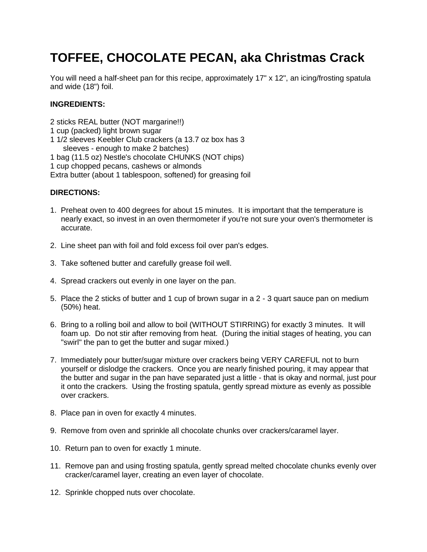## **TOFFEE, CHOCOLATE PECAN, aka Christmas Crack**

You will need a half-sheet pan for this recipe, approximately 17" x 12", an icing/frosting spatula and wide (18") foil.

## **INGREDIENTS:**

2 sticks REAL butter (NOT margarine!!)

- 1 cup (packed) light brown sugar
- 1 1/2 sleeves Keebler Club crackers (a 13.7 oz box has 3 sleeves - enough to make 2 batches) 1 bag (11.5 oz) Nestle's chocolate CHUNKS (NOT chips)

1 cup chopped pecans, cashews or almonds

Extra butter (about 1 tablespoon, softened) for greasing foil

## **DIRECTIONS:**

- 1. Preheat oven to 400 degrees for about 15 minutes. It is important that the temperature is nearly exact, so invest in an oven thermometer if you're not sure your oven's thermometer is accurate.
- 2. Line sheet pan with foil and fold excess foil over pan's edges.
- 3. Take softened butter and carefully grease foil well.
- 4. Spread crackers out evenly in one layer on the pan.
- 5. Place the 2 sticks of butter and 1 cup of brown sugar in a 2 3 quart sauce pan on medium (50%) heat.
- 6. Bring to a rolling boil and allow to boil (WITHOUT STIRRING) for exactly 3 minutes. It will foam up. Do not stir after removing from heat. (During the initial stages of heating, you can "swirl" the pan to get the butter and sugar mixed.)
- 7. Immediately pour butter/sugar mixture over crackers being VERY CAREFUL not to burn yourself or dislodge the crackers. Once you are nearly finished pouring, it may appear that the butter and sugar in the pan have separated just a little - that is okay and normal, just pour it onto the crackers. Using the frosting spatula, gently spread mixture as evenly as possible over crackers.
- 8. Place pan in oven for exactly 4 minutes.
- 9. Remove from oven and sprinkle all chocolate chunks over crackers/caramel layer.
- 10. Return pan to oven for exactly 1 minute.
- 11. Remove pan and using frosting spatula, gently spread melted chocolate chunks evenly over cracker/caramel layer, creating an even layer of chocolate.
- 12. Sprinkle chopped nuts over chocolate.